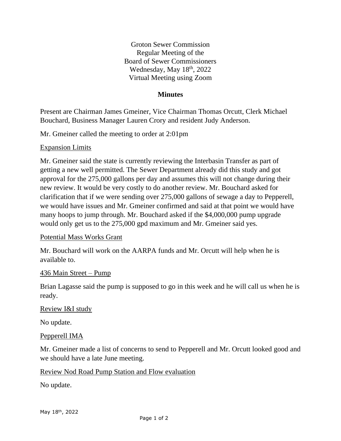Groton Sewer Commission Regular Meeting of the Board of Sewer Commissioners Wednesday, May 18<sup>th</sup>, 2022 Virtual Meeting using Zoom

### **Minutes**

Present are Chairman James Gmeiner, Vice Chairman Thomas Orcutt, Clerk Michael Bouchard, Business Manager Lauren Crory and resident Judy Anderson.

Mr. Gmeiner called the meeting to order at 2:01pm

#### Expansion Limits

Mr. Gmeiner said the state is currently reviewing the Interbasin Transfer as part of getting a new well permitted. The Sewer Department already did this study and got approval for the 275,000 gallons per day and assumes this will not change during their new review. It would be very costly to do another review. Mr. Bouchard asked for clarification that if we were sending over 275,000 gallons of sewage a day to Pepperell, we would have issues and Mr. Gmeiner confirmed and said at that point we would have many hoops to jump through. Mr. Bouchard asked if the \$4,000,000 pump upgrade would only get us to the 275,000 gpd maximum and Mr. Gmeiner said yes.

### Potential Mass Works Grant

Mr. Bouchard will work on the AARPA funds and Mr. Orcutt will help when he is available to.

#### 436 Main Street – Pump

Brian Lagasse said the pump is supposed to go in this week and he will call us when he is ready.

### Review I&I study

No update.

### Pepperell IMA

Mr. Gmeiner made a list of concerns to send to Pepperell and Mr. Orcutt looked good and we should have a late June meeting.

### Review Nod Road Pump Station and Flow evaluation

No update.